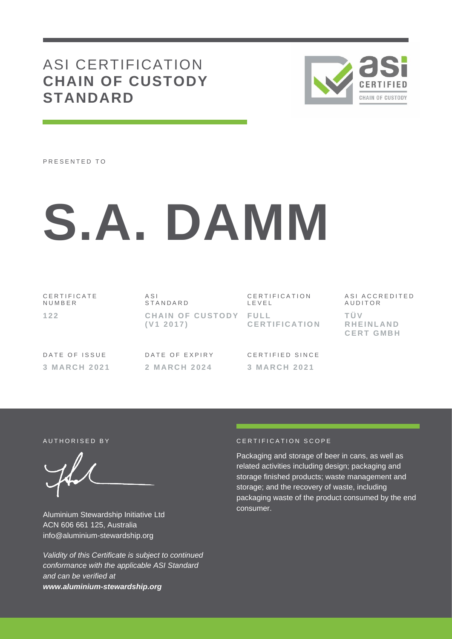# ASI CERTIFICATION **CHAIN OF CUSTODY STANDARD**



PRESENTED TO

# **S.A. DAMM**

C E R T I F I C A T E N U M B E R **1 2 2**

A S I **STANDARD CHAIN OF CUSTODY FULL ( V1 2 0 1 7 )**

C E R T I F I C A T I O N L E V E L **C E R T I F I C A T I O N** A S I A C C R E D I T E D A U D I T O R **T Ü V R H E I N L A N D C E R T G M B H**

DATE OF ISSUE **3 M A R C H 2 0 2 1** DATE OF EXPIRY **2 M A R C H 2 0 2 4**

CERTIFIED SINCE **3 M A R C H 2 0 2 1**

Aluminium Stewardship Initiative Ltd ACN 606 661 125, Australia info@aluminium-stewardship.org

*Validity of this Certificate is subject to continued conformance with the applicable ASI Standard and can be verified at www.aluminium-stewardship.org*

#### A UTHORISED BY CERTIFICATION SCOPE

Packaging and storage of beer in cans, as well as related activities including design; packaging and storage finished products; waste management and storage; and the recovery of waste, including packaging waste of the product consumed by the end consumer.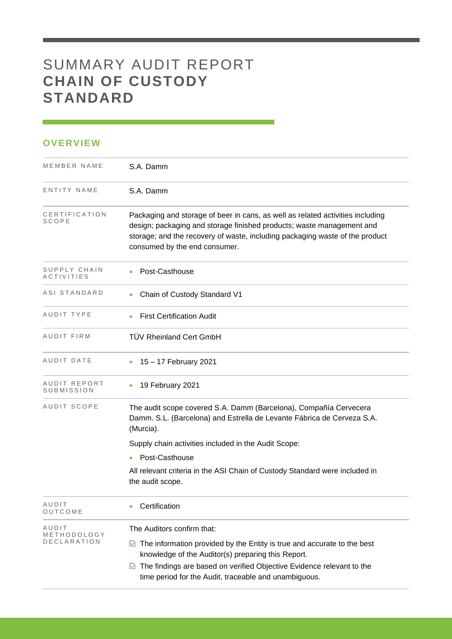## SUMMARY AUDIT REPORT **CHAIN OF CUSTODY STANDARD**

### **OVERVIEW**

| MEMBER NAME                       | S.A. Damm                                                                                                                                                                                                                                                                |
|-----------------------------------|--------------------------------------------------------------------------------------------------------------------------------------------------------------------------------------------------------------------------------------------------------------------------|
| ENTITY NAME                       | S.A. Damm                                                                                                                                                                                                                                                                |
| CERTIFICATION<br>SCOPE            | Packaging and storage of beer in cans, as well as related activities including<br>design; packaging and storage finished products; waste management and<br>storage; and the recovery of waste, including packaging waste of the product<br>consumed by the end consumer. |
| SUPPLY CHAIN<br><b>ACTIVITIES</b> | Post-Casthouse                                                                                                                                                                                                                                                           |
| ASI STANDARD                      | Chain of Custody Standard V1                                                                                                                                                                                                                                             |
| AUDIT TYPE                        | <b>First Certification Audit</b>                                                                                                                                                                                                                                         |
| AUDIT FIRM                        | <b>TÜV Rheinland Cert GmbH</b>                                                                                                                                                                                                                                           |
| AUDIT DATE                        | 15 - 17 February 2021                                                                                                                                                                                                                                                    |
| AUDIT REPORT<br>SUBMISSION        | 19 February 2021                                                                                                                                                                                                                                                         |
| AUDIT SCOPE                       | The audit scope covered S.A. Damm (Barcelona), Compañía Cervecera<br>Damm. S.L. (Barcelona) and Estrella de Levante Fábrica de Cerveza S.A.<br>(Murcia).                                                                                                                 |
|                                   | Supply chain activities included in the Audit Scope:                                                                                                                                                                                                                     |
|                                   | Post-Casthouse<br>$\bullet$                                                                                                                                                                                                                                              |
|                                   | All relevant criteria in the ASI Chain of Custody Standard were included in<br>the audit scope.                                                                                                                                                                          |
| AUDIT<br>OUTCOME                  | Certification                                                                                                                                                                                                                                                            |
| AUDIT                             | The Auditors confirm that:                                                                                                                                                                                                                                               |
| METHODOLOGY<br><b>DECLARATION</b> | The information provided by the Entity is true and accurate to the best<br>M<br>knowledge of the Auditor(s) preparing this Report.                                                                                                                                       |
|                                   | The findings are based on verified Objective Evidence relevant to the<br>M<br>time period for the Audit, traceable and unambiguous.                                                                                                                                      |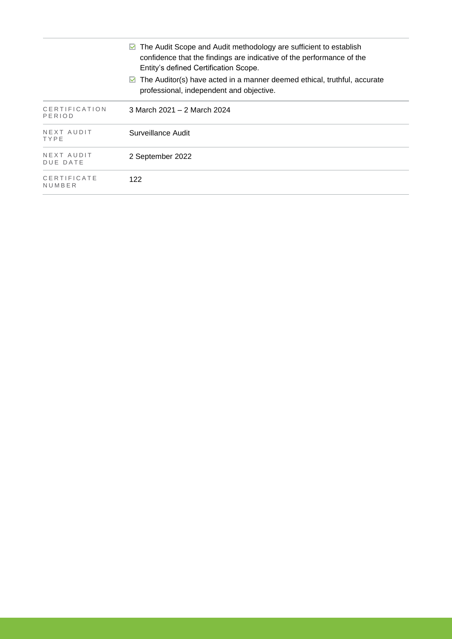|                                | $\triangleright$ The Audit Scope and Audit methodology are sufficient to establish<br>confidence that the findings are indicative of the performance of the<br>Entity's defined Certification Scope. |
|--------------------------------|------------------------------------------------------------------------------------------------------------------------------------------------------------------------------------------------------|
|                                | $\triangleright$ The Auditor(s) have acted in a manner deemed ethical, truthful, accurate<br>professional, independent and objective.                                                                |
| <b>CERTIFICATION</b><br>PERIOD | 3 March 2021 – 2 March 2024                                                                                                                                                                          |
| NEXT AUDIT<br>TYPE             | Surveillance Audit                                                                                                                                                                                   |
| NEXT AUDIT<br><b>DUE DATE</b>  | 2 September 2022                                                                                                                                                                                     |
| CERTIFICATE<br>NUMBER          | 122                                                                                                                                                                                                  |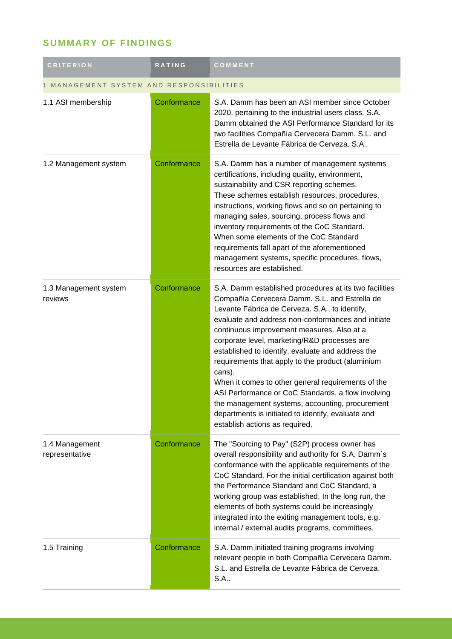## **SUMMARY OF FINDINGS**

| <b>CRITERION</b>                       | RATING      | COMMENT                                                                                                                                                                                                                                                                                                                                                                                                                                                                                                                                                                                                                                                                                  |  |
|----------------------------------------|-------------|------------------------------------------------------------------------------------------------------------------------------------------------------------------------------------------------------------------------------------------------------------------------------------------------------------------------------------------------------------------------------------------------------------------------------------------------------------------------------------------------------------------------------------------------------------------------------------------------------------------------------------------------------------------------------------------|--|
| MANAGEMENT SYSTEM AND RESPONSIBILITIES |             |                                                                                                                                                                                                                                                                                                                                                                                                                                                                                                                                                                                                                                                                                          |  |
| 1.1 ASI membership                     | Conformance | S.A. Damm has been an ASI member since October<br>2020, pertaining to the industrial users class. S.A.<br>Damm obtained the ASI Performance Standard for its<br>two facilities Compañía Cervecera Damm. S.L. and<br>Estrella de Levante Fábrica de Cerveza. S.A                                                                                                                                                                                                                                                                                                                                                                                                                          |  |
| 1.2 Management system                  | Conformance | S.A. Damm has a number of management systems<br>certifications, including quality, environment,<br>sustainability and CSR reporting schemes.<br>These schemes establish resources, procedures,<br>instructions, working flows and so on pertaining to<br>managing sales, sourcing, process flows and<br>inventory requirements of the CoC Standard.<br>When some elements of the CoC Standard<br>requirements fall apart of the aforementioned<br>management systems, specific procedures, flows,<br>resources are established.                                                                                                                                                          |  |
| 1.3 Management system<br>reviews       | Conformance | S.A. Damm established procedures at its two facilities<br>Compañía Cervecera Damm. S.L. and Estrella de<br>Levante Fábrica de Cerveza. S.A., to identify,<br>evaluate and address non-conformances and initiate<br>continuous improvement measures. Also at a<br>corporate level, marketing/R&D processes are<br>established to identify, evaluate and address the<br>requirements that apply to the product (aluminium<br>cans).<br>When it comes to other general requirements of the<br>ASI Performance or CoC Standards, a flow involving<br>the management systems, accounting, procurement<br>departments is initiated to identify, evaluate and<br>establish actions as required. |  |
| 1.4 Management<br>representative       | Conformance | The "Sourcing to Pay" (S2P) process owner has<br>overall responsibility and authority for S.A. Damm's<br>conformance with the applicable requirements of the<br>CoC Standard. For the initial certification against both<br>the Performance Standard and CoC Standard, a<br>working group was established. In the long run, the<br>elements of both systems could be increasingly<br>integrated into the exiting management tools, e.g.<br>internal / external audits programs, committees.                                                                                                                                                                                              |  |
| 1.5 Training                           | Conformance | S.A. Damm initiated training programs involving<br>relevant people in both Compañía Cervecera Damm.<br>S.L. and Estrella de Levante Fábrica de Cerveza.<br>S.A                                                                                                                                                                                                                                                                                                                                                                                                                                                                                                                           |  |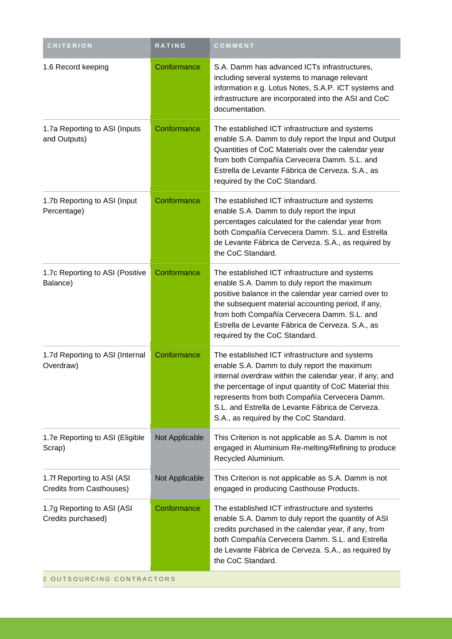| <b>CRITERION</b>                                       | <b>RATING</b>  | COMMENT                                                                                                                                                                                                                                                                                                                                                          |
|--------------------------------------------------------|----------------|------------------------------------------------------------------------------------------------------------------------------------------------------------------------------------------------------------------------------------------------------------------------------------------------------------------------------------------------------------------|
| 1.6 Record keeping                                     | Conformance    | S.A. Damm has advanced ICTs infrastructures,<br>including several systems to manage relevant<br>information e.g. Lotus Notes, S.A.P. ICT systems and<br>infrastructure are incorporated into the ASI and CoC<br>documentation.                                                                                                                                   |
| 1.7a Reporting to ASI (Inputs<br>and Outputs)          | Conformance    | The established ICT infrastructure and systems<br>enable S.A. Damm to duly report the Input and Output<br>Quantities of CoC Materials over the calendar year<br>from both Compañía Cervecera Damm. S.L. and<br>Estrella de Levante Fábrica de Cerveza. S.A., as<br>required by the CoC Standard.                                                                 |
| 1.7b Reporting to ASI (Input<br>Percentage)            | Conformance    | The established ICT infrastructure and systems<br>enable S.A. Damm to duly report the input<br>percentages calculated for the calendar year from<br>both Compañía Cervecera Damm. S.L. and Estrella<br>de Levante Fábrica de Cerveza. S.A., as required by<br>the CoC Standard.                                                                                  |
| 1.7c Reporting to ASI (Positive<br>Balance)            | Conformance    | The established ICT infrastructure and systems<br>enable S.A. Damm to duly report the maximum<br>positive balance in the calendar year carried over to<br>the subsequent material accounting period, if any,<br>from both Compañía Cervecera Damm. S.L. and<br>Estrella de Levante Fábrica de Cerveza. S.A., as<br>required by the CoC Standard.                 |
| 1.7d Reporting to ASI (Internal<br>Overdraw)           | Conformance    | The established ICT infrastructure and systems<br>enable S.A. Damm to duly report the maximum<br>internal overdraw within the calendar year, if any, and<br>the percentage of input quantity of CoC Material this<br>represents from both Compañía Cervecera Damm.<br>S.L. and Estrella de Levante Fábrica de Cerveza.<br>S.A., as required by the CoC Standard. |
| 1.7e Reporting to ASI (Eligible<br>Scrap)              | Not Applicable | This Criterion is not applicable as S.A. Damm is not<br>engaged in Aluminium Re-melting/Refining to produce<br>Recycled Aluminium.                                                                                                                                                                                                                               |
| 1.7f Reporting to ASI (ASI<br>Credits from Casthouses) | Not Applicable | This Criterion is not applicable as S.A. Damm is not<br>engaged in producing Casthouse Products.                                                                                                                                                                                                                                                                 |
| 1.7g Reporting to ASI (ASI<br>Credits purchased)       | Conformance    | The established ICT infrastructure and systems<br>enable S.A. Damm to duly report the quantity of ASI<br>credits purchased in the calendar year, if any, from<br>both Compañía Cervecera Damm. S.L. and Estrella<br>de Levante Fábrica de Cerveza. S.A., as required by<br>the CoC Standard.                                                                     |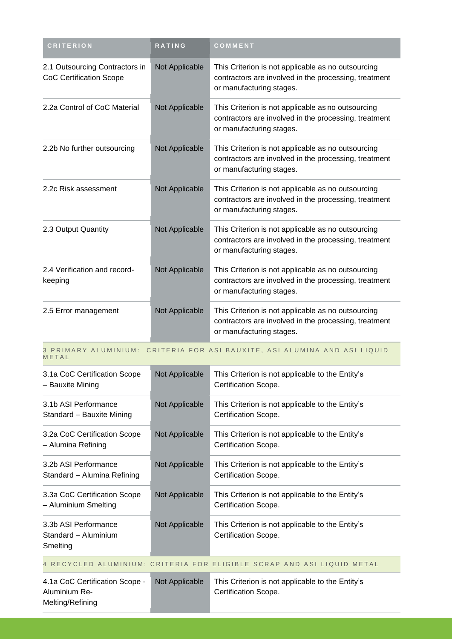| <b>CRITERION</b>                                                    | RATING         | COMMENT                                                                                                                                 |
|---------------------------------------------------------------------|----------------|-----------------------------------------------------------------------------------------------------------------------------------------|
| 2.1 Outsourcing Contractors in<br><b>CoC Certification Scope</b>    | Not Applicable | This Criterion is not applicable as no outsourcing<br>contractors are involved in the processing, treatment<br>or manufacturing stages. |
| 2.2a Control of CoC Material                                        | Not Applicable | This Criterion is not applicable as no outsourcing<br>contractors are involved in the processing, treatment<br>or manufacturing stages. |
| 2.2b No further outsourcing                                         | Not Applicable | This Criterion is not applicable as no outsourcing<br>contractors are involved in the processing, treatment<br>or manufacturing stages. |
| 2.2c Risk assessment                                                | Not Applicable | This Criterion is not applicable as no outsourcing<br>contractors are involved in the processing, treatment<br>or manufacturing stages. |
| 2.3 Output Quantity                                                 | Not Applicable | This Criterion is not applicable as no outsourcing<br>contractors are involved in the processing, treatment<br>or manufacturing stages. |
| 2.4 Verification and record-<br>keeping                             | Not Applicable | This Criterion is not applicable as no outsourcing<br>contractors are involved in the processing, treatment<br>or manufacturing stages. |
| 2.5 Error management                                                | Not Applicable | This Criterion is not applicable as no outsourcing<br>contractors are involved in the processing, treatment<br>or manufacturing stages. |
| METAL                                                               |                | 3 PRIMARY ALUMINIUM: CRITERIA FOR ASI BAUXITE, ASI ALUMINA AND ASI LIQUID                                                               |
| 3.1a CoC Certification Scope<br>- Bauxite Mining                    | Not Applicable | This Criterion is not applicable to the Entity's<br>Certification Scope.                                                                |
| 3.1b ASI Performance<br>Standard - Bauxite Mining                   | Not Applicable | This Criterion is not applicable to the Entity's<br>Certification Scope.                                                                |
| 3.2a CoC Certification Scope<br>- Alumina Refining                  | Not Applicable | This Criterion is not applicable to the Entity's<br>Certification Scope.                                                                |
| 3.2b ASI Performance<br>Standard - Alumina Refining                 | Not Applicable | This Criterion is not applicable to the Entity's<br>Certification Scope.                                                                |
| 3.3a CoC Certification Scope<br>- Aluminium Smelting                | Not Applicable | This Criterion is not applicable to the Entity's<br>Certification Scope.                                                                |
| 3.3b ASI Performance<br>Standard - Aluminium<br>Smelting            | Not Applicable | This Criterion is not applicable to the Entity's<br>Certification Scope.                                                                |
|                                                                     |                | 4 RECYCLED ALUMINIUM: CRITERIA FOR ELIGIBLE SCRAP AND ASI LIQUID METAL                                                                  |
| 4.1a CoC Certification Scope -<br>Aluminium Re-<br>Melting/Refining | Not Applicable | This Criterion is not applicable to the Entity's<br>Certification Scope.                                                                |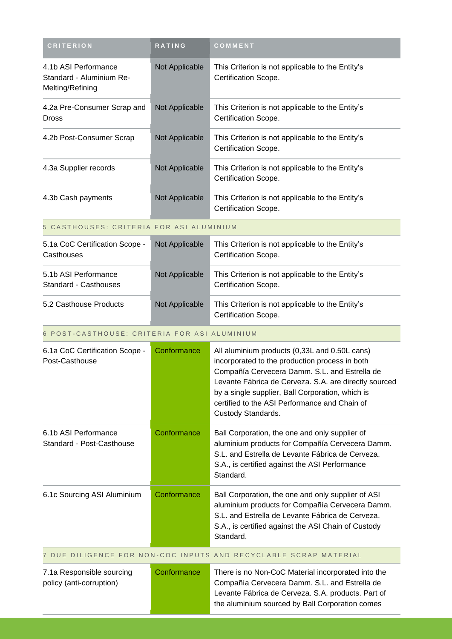| <b>CRITERION</b>                                                     | RATING         | COMMENT                                                                                                                                                                                                                                                                                                                              |  |
|----------------------------------------------------------------------|----------------|--------------------------------------------------------------------------------------------------------------------------------------------------------------------------------------------------------------------------------------------------------------------------------------------------------------------------------------|--|
| 4.1b ASI Performance<br>Standard - Aluminium Re-<br>Melting/Refining | Not Applicable | This Criterion is not applicable to the Entity's<br>Certification Scope.                                                                                                                                                                                                                                                             |  |
| 4.2a Pre-Consumer Scrap and<br><b>Dross</b>                          | Not Applicable | This Criterion is not applicable to the Entity's<br>Certification Scope.                                                                                                                                                                                                                                                             |  |
| 4.2b Post-Consumer Scrap                                             | Not Applicable | This Criterion is not applicable to the Entity's<br>Certification Scope.                                                                                                                                                                                                                                                             |  |
| 4.3a Supplier records                                                | Not Applicable | This Criterion is not applicable to the Entity's<br>Certification Scope.                                                                                                                                                                                                                                                             |  |
| 4.3b Cash payments                                                   | Not Applicable | This Criterion is not applicable to the Entity's<br>Certification Scope.                                                                                                                                                                                                                                                             |  |
| 5 CASTHOUSES: CRITERIA FOR ASI ALUMINIUM                             |                |                                                                                                                                                                                                                                                                                                                                      |  |
| 5.1a CoC Certification Scope -<br>Casthouses                         | Not Applicable | This Criterion is not applicable to the Entity's<br>Certification Scope.                                                                                                                                                                                                                                                             |  |
| 5.1b ASI Performance<br><b>Standard - Casthouses</b>                 | Not Applicable | This Criterion is not applicable to the Entity's<br>Certification Scope.                                                                                                                                                                                                                                                             |  |
| 5.2 Casthouse Products                                               | Not Applicable | This Criterion is not applicable to the Entity's<br>Certification Scope.                                                                                                                                                                                                                                                             |  |
| 6 POST-CASTHOUSE: CRITERIA FOR ASI ALUMINIUM                         |                |                                                                                                                                                                                                                                                                                                                                      |  |
| 6.1a CoC Certification Scope -<br>Post-Casthouse                     | Conformance    | All aluminium products (0,33L and 0.50L cans)<br>incorporated to the production process in both<br>Compañía Cervecera Damm. S.L. and Estrella de<br>Levante Fábrica de Cerveza. S.A. are directly sourced<br>by a single supplier, Ball Corporation, which is<br>certified to the ASI Performance and Chain of<br>Custody Standards. |  |
| 6.1b ASI Performance<br>Standard - Post-Casthouse                    | Conformance    | Ball Corporation, the one and only supplier of<br>aluminium products for Compañía Cervecera Damm.<br>S.L. and Estrella de Levante Fábrica de Cerveza.<br>S.A., is certified against the ASI Performance<br>Standard.                                                                                                                 |  |
| 6.1c Sourcing ASI Aluminium                                          | Conformance    | Ball Corporation, the one and only supplier of ASI<br>aluminium products for Compañía Cervecera Damm.<br>S.L. and Estrella de Levante Fábrica de Cerveza.<br>S.A., is certified against the ASI Chain of Custody<br>Standard.                                                                                                        |  |
| 7 DUE DILIGENCE FOR NON-COC INPUTS AND RECYCLABLE SCRAP MATERIAL     |                |                                                                                                                                                                                                                                                                                                                                      |  |
| 7.1a Responsible sourcing<br>policy (anti-corruption)                | Conformance    | There is no Non-CoC Material incorporated into the<br>Compañía Cervecera Damm. S.L. and Estrella de<br>Levante Fábrica de Cerveza. S.A. products. Part of<br>the aluminium sourced by Ball Corporation comes                                                                                                                         |  |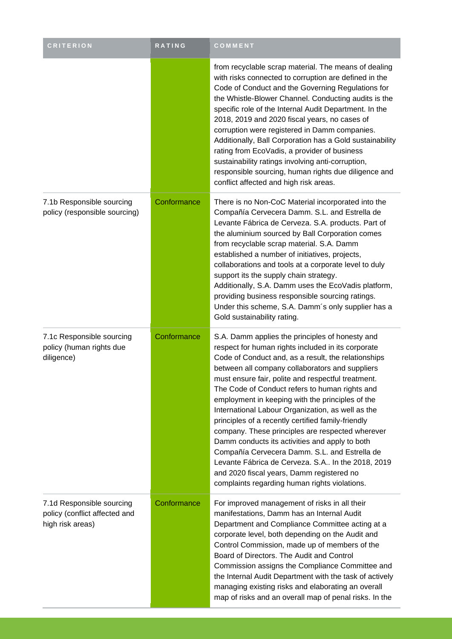| <b>CRITERION</b>                                                               | RATING      | COMMENT                                                                                                                                                                                                                                                                                                                                                                                                                                                                                                                                                                                                                                                                                                                                                                                          |
|--------------------------------------------------------------------------------|-------------|--------------------------------------------------------------------------------------------------------------------------------------------------------------------------------------------------------------------------------------------------------------------------------------------------------------------------------------------------------------------------------------------------------------------------------------------------------------------------------------------------------------------------------------------------------------------------------------------------------------------------------------------------------------------------------------------------------------------------------------------------------------------------------------------------|
|                                                                                |             | from recyclable scrap material. The means of dealing<br>with risks connected to corruption are defined in the<br>Code of Conduct and the Governing Regulations for<br>the Whistle-Blower Channel. Conducting audits is the<br>specific role of the Internal Audit Department. In the<br>2018, 2019 and 2020 fiscal years, no cases of<br>corruption were registered in Damm companies.<br>Additionally, Ball Corporation has a Gold sustainability<br>rating from EcoVadis, a provider of business<br>sustainability ratings involving anti-corruption,<br>responsible sourcing, human rights due diligence and<br>conflict affected and high risk areas.                                                                                                                                        |
| 7.1b Responsible sourcing<br>policy (responsible sourcing)                     | Conformance | There is no Non-CoC Material incorporated into the<br>Compañía Cervecera Damm. S.L. and Estrella de<br>Levante Fábrica de Cerveza. S.A. products. Part of<br>the aluminium sourced by Ball Corporation comes<br>from recyclable scrap material. S.A. Damm<br>established a number of initiatives, projects,<br>collaborations and tools at a corporate level to duly<br>support its the supply chain strategy.<br>Additionally, S.A. Damm uses the EcoVadis platform,<br>providing business responsible sourcing ratings.<br>Under this scheme, S.A. Damm's only supplier has a<br>Gold sustainability rating.                                                                                                                                                                                   |
| 7.1c Responsible sourcing<br>policy (human rights due<br>diligence)            | Conformance | S.A. Damm applies the principles of honesty and<br>respect for human rights included in its corporate<br>Code of Conduct and, as a result, the relationships<br>between all company collaborators and suppliers<br>must ensure fair, polite and respectful treatment.<br>The Code of Conduct refers to human rights and<br>employment in keeping with the principles of the<br>International Labour Organization, as well as the<br>principles of a recently certified family-friendly<br>company. These principles are respected wherever<br>Damm conducts its activities and apply to both<br>Compañía Cervecera Damm. S.L. and Estrella de<br>Levante Fábrica de Cerveza. S.A In the 2018, 2019<br>and 2020 fiscal years, Damm registered no<br>complaints regarding human rights violations. |
| 7.1d Responsible sourcing<br>policy (conflict affected and<br>high risk areas) | Conformance | For improved management of risks in all their<br>manifestations, Damm has an Internal Audit<br>Department and Compliance Committee acting at a<br>corporate level, both depending on the Audit and<br>Control Commission, made up of members of the<br>Board of Directors. The Audit and Control<br>Commission assigns the Compliance Committee and<br>the Internal Audit Department with the task of actively<br>managing existing risks and elaborating an overall<br>map of risks and an overall map of penal risks. In the                                                                                                                                                                                                                                                                   |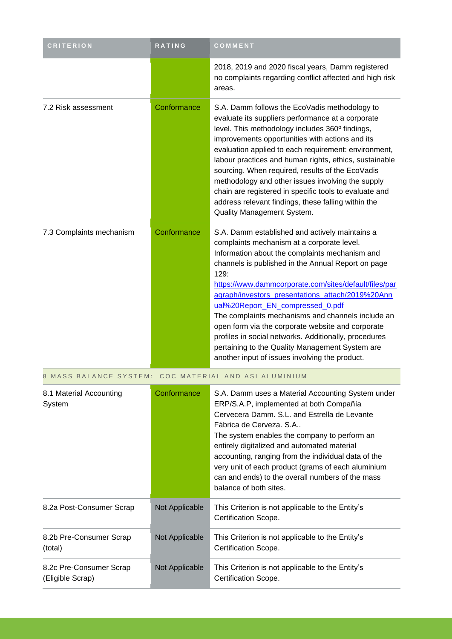| <b>CRITERION</b>                                      | RATING         | COMMENT                                                                                                                                                                                                                                                                                                                                                                                                                                                                                                                                                                                                                               |
|-------------------------------------------------------|----------------|---------------------------------------------------------------------------------------------------------------------------------------------------------------------------------------------------------------------------------------------------------------------------------------------------------------------------------------------------------------------------------------------------------------------------------------------------------------------------------------------------------------------------------------------------------------------------------------------------------------------------------------|
|                                                       |                | 2018, 2019 and 2020 fiscal years, Damm registered<br>no complaints regarding conflict affected and high risk<br>areas.                                                                                                                                                                                                                                                                                                                                                                                                                                                                                                                |
| 7.2 Risk assessment                                   | Conformance    | S.A. Damm follows the EcoVadis methodology to<br>evaluate its suppliers performance at a corporate<br>level. This methodology includes 360° findings,<br>improvements opportunities with actions and its<br>evaluation applied to each requirement: environment,<br>labour practices and human rights, ethics, sustainable<br>sourcing. When required, results of the EcoVadis<br>methodology and other issues involving the supply<br>chain are registered in specific tools to evaluate and<br>address relevant findings, these falling within the<br>Quality Management System.                                                    |
| 7.3 Complaints mechanism                              | Conformance    | S.A. Damm established and actively maintains a<br>complaints mechanism at a corporate level.<br>Information about the complaints mechanism and<br>channels is published in the Annual Report on page<br>129:<br>https://www.dammcorporate.com/sites/default/files/par<br>agraph/investors_presentations_attach/2019%20Ann<br>ual%20Report_EN_compressed_0.pdf<br>The complaints mechanisms and channels include an<br>open form via the corporate website and corporate<br>profiles in social networks. Additionally, procedures<br>pertaining to the Quality Management System are<br>another input of issues involving the product. |
| 8 MASS BALANCE SYSTEM: COC MATERIAL AND ASI ALUMINIUM |                |                                                                                                                                                                                                                                                                                                                                                                                                                                                                                                                                                                                                                                       |
| 8.1 Material Accounting<br>System                     | Conformance    | S.A. Damm uses a Material Accounting System under<br>ERP/S.A.P, implemented at both Compañía<br>Cervecera Damm, S.L. and Estrella de Levante<br>Fábrica de Cerveza, S.A.,<br>The system enables the company to perform an<br>entirely digitalized and automated material<br>accounting, ranging from the individual data of the<br>very unit of each product (grams of each aluminium<br>can and ends) to the overall numbers of the mass<br>balance of both sites.                                                                                                                                                                   |
| 8.2a Post-Consumer Scrap                              | Not Applicable | This Criterion is not applicable to the Entity's<br>Certification Scope.                                                                                                                                                                                                                                                                                                                                                                                                                                                                                                                                                              |
| 8.2b Pre-Consumer Scrap<br>(total)                    | Not Applicable | This Criterion is not applicable to the Entity's<br>Certification Scope.                                                                                                                                                                                                                                                                                                                                                                                                                                                                                                                                                              |
| 8.2c Pre-Consumer Scrap<br>(Eligible Scrap)           | Not Applicable | This Criterion is not applicable to the Entity's<br>Certification Scope.                                                                                                                                                                                                                                                                                                                                                                                                                                                                                                                                                              |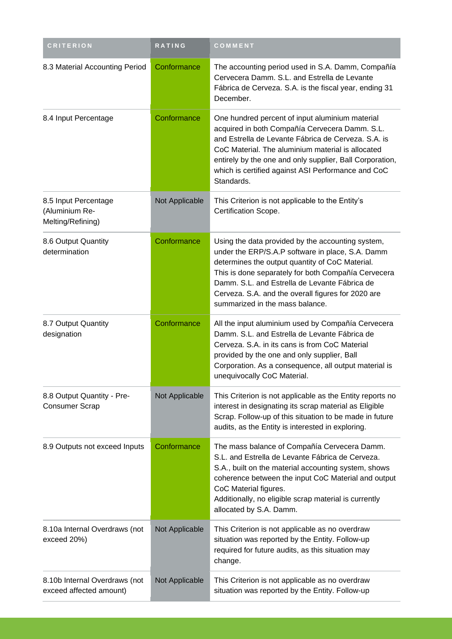| <b>CRITERION</b>                                            | RATING         | COMMENT                                                                                                                                                                                                                                                                                                                                                   |
|-------------------------------------------------------------|----------------|-----------------------------------------------------------------------------------------------------------------------------------------------------------------------------------------------------------------------------------------------------------------------------------------------------------------------------------------------------------|
| 8.3 Material Accounting Period                              | Conformance    | The accounting period used in S.A. Damm, Compañía<br>Cervecera Damm. S.L. and Estrella de Levante<br>Fábrica de Cerveza. S.A. is the fiscal year, ending 31<br>December.                                                                                                                                                                                  |
| 8.4 Input Percentage                                        | Conformance    | One hundred percent of input aluminium material<br>acquired in both Compañía Cervecera Damm. S.L.<br>and Estrella de Levante Fábrica de Cerveza. S.A. is<br>CoC Material. The aluminium material is allocated<br>entirely by the one and only supplier, Ball Corporation,<br>which is certified against ASI Performance and CoC<br>Standards.             |
| 8.5 Input Percentage<br>(Aluminium Re-<br>Melting/Refining) | Not Applicable | This Criterion is not applicable to the Entity's<br>Certification Scope.                                                                                                                                                                                                                                                                                  |
| 8.6 Output Quantity<br>determination                        | Conformance    | Using the data provided by the accounting system,<br>under the ERP/S.A.P software in place, S.A. Damm<br>determines the output quantity of CoC Material.<br>This is done separately for both Compañía Cervecera<br>Damm. S.L. and Estrella de Levante Fábrica de<br>Cerveza. S.A. and the overall figures for 2020 are<br>summarized in the mass balance. |
| 8.7 Output Quantity<br>designation                          | Conformance    | All the input aluminium used by Compañía Cervecera<br>Damm. S.L. and Estrella de Levante Fábrica de<br>Cerveza. S.A. in its cans is from CoC Material<br>provided by the one and only supplier, Ball<br>Corporation. As a consequence, all output material is<br>unequivocally CoC Material.                                                              |
| 8.8 Output Quantity - Pre-<br><b>Consumer Scrap</b>         | Not Applicable | This Criterion is not applicable as the Entity reports no<br>interest in designating its scrap material as Eligible<br>Scrap. Follow-up of this situation to be made in future<br>audits, as the Entity is interested in exploring.                                                                                                                       |
| 8.9 Outputs not exceed Inputs                               | Conformance    | The mass balance of Compañía Cervecera Damm.<br>S.L. and Estrella de Levante Fábrica de Cerveza.<br>S.A., built on the material accounting system, shows<br>coherence between the input CoC Material and output<br>CoC Material figures.<br>Additionally, no eligible scrap material is currently<br>allocated by S.A. Damm.                              |
| 8.10a Internal Overdraws (not<br>exceed 20%)                | Not Applicable | This Criterion is not applicable as no overdraw<br>situation was reported by the Entity. Follow-up<br>required for future audits, as this situation may<br>change.                                                                                                                                                                                        |
| 8.10b Internal Overdraws (not<br>exceed affected amount)    | Not Applicable | This Criterion is not applicable as no overdraw<br>situation was reported by the Entity. Follow-up                                                                                                                                                                                                                                                        |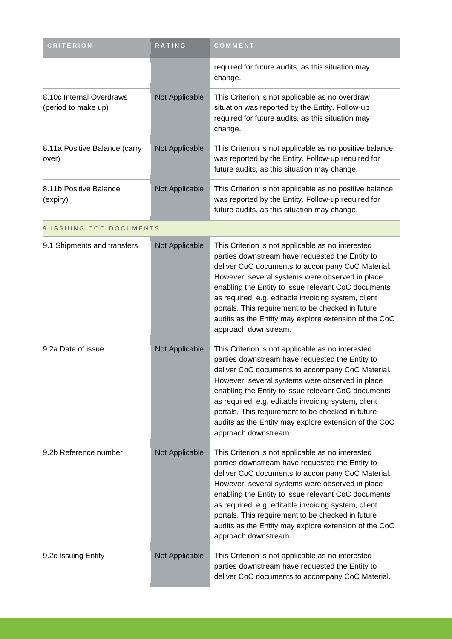| <b>CRITERION</b>                                | RATING         | COMMENT                                                                                                                                                                                                                                                                                                                                                                                                                                                         |
|-------------------------------------------------|----------------|-----------------------------------------------------------------------------------------------------------------------------------------------------------------------------------------------------------------------------------------------------------------------------------------------------------------------------------------------------------------------------------------------------------------------------------------------------------------|
|                                                 |                | required for future audits, as this situation may<br>change.                                                                                                                                                                                                                                                                                                                                                                                                    |
| 8.10c Internal Overdraws<br>(period to make up) | Not Applicable | This Criterion is not applicable as no overdraw<br>situation was reported by the Entity. Follow-up<br>required for future audits, as this situation may<br>change.                                                                                                                                                                                                                                                                                              |
| 8.11a Positive Balance (carry<br>over)          | Not Applicable | This Criterion is not applicable as no positive balance<br>was reported by the Entity. Follow-up required for<br>future audits, as this situation may change.                                                                                                                                                                                                                                                                                                   |
| 8.11b Positive Balance<br>(expiry)              | Not Applicable | This Criterion is not applicable as no positive balance<br>was reported by the Entity. Follow-up required for<br>future audits, as this situation may change.                                                                                                                                                                                                                                                                                                   |
| 9 ISSUING COC DOCUMENTS                         |                |                                                                                                                                                                                                                                                                                                                                                                                                                                                                 |
| 9.1 Shipments and transfers                     | Not Applicable | This Criterion is not applicable as no interested<br>parties downstream have requested the Entity to<br>deliver CoC documents to accompany CoC Material.<br>However, several systems were observed in place<br>enabling the Entity to issue relevant CoC documents<br>as required, e.g. editable invoicing system, client<br>portals. This requirement to be checked in future<br>audits as the Entity may explore extension of the CoC<br>approach downstream. |
| 9.2a Date of issue                              | Not Applicable | This Criterion is not applicable as no interested<br>parties downstream have requested the Entity to<br>deliver CoC documents to accompany CoC Material.<br>However, several systems were observed in place<br>enabling the Entity to issue relevant CoC documents<br>as required, e.g. editable invoicing system, client<br>portals. This requirement to be checked in future<br>audits as the Entity may explore extension of the CoC<br>approach downstream. |
| 9.2b Reference number                           | Not Applicable | This Criterion is not applicable as no interested<br>parties downstream have requested the Entity to<br>deliver CoC documents to accompany CoC Material.<br>However, several systems were observed in place<br>enabling the Entity to issue relevant CoC documents<br>as required, e.g. editable invoicing system, client<br>portals. This requirement to be checked in future<br>audits as the Entity may explore extension of the CoC<br>approach downstream. |
| 9.2c Issuing Entity                             | Not Applicable | This Criterion is not applicable as no interested<br>parties downstream have requested the Entity to<br>deliver CoC documents to accompany CoC Material.                                                                                                                                                                                                                                                                                                        |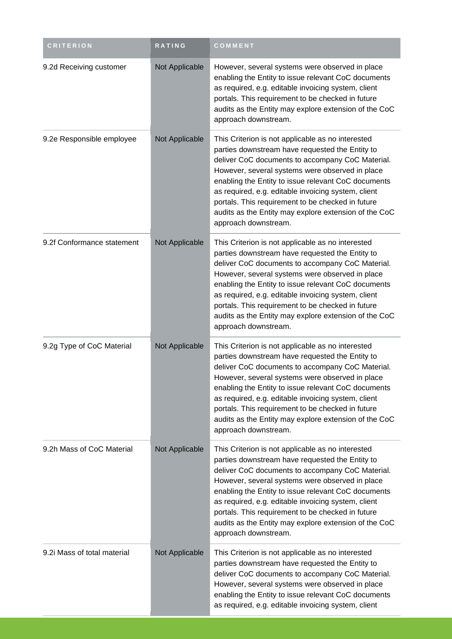| <b>CRITERION</b>            | RATING         | COMMENT                                                                                                                                                                                                                                                                                                                                                                                                                                                         |
|-----------------------------|----------------|-----------------------------------------------------------------------------------------------------------------------------------------------------------------------------------------------------------------------------------------------------------------------------------------------------------------------------------------------------------------------------------------------------------------------------------------------------------------|
| 9.2d Receiving customer     | Not Applicable | However, several systems were observed in place<br>enabling the Entity to issue relevant CoC documents<br>as required, e.g. editable invoicing system, client<br>portals. This requirement to be checked in future<br>audits as the Entity may explore extension of the CoC<br>approach downstream.                                                                                                                                                             |
| 9.2e Responsible employee   | Not Applicable | This Criterion is not applicable as no interested<br>parties downstream have requested the Entity to<br>deliver CoC documents to accompany CoC Material.<br>However, several systems were observed in place<br>enabling the Entity to issue relevant CoC documents<br>as required, e.g. editable invoicing system, client<br>portals. This requirement to be checked in future<br>audits as the Entity may explore extension of the CoC<br>approach downstream. |
| 9.2f Conformance statement  | Not Applicable | This Criterion is not applicable as no interested<br>parties downstream have requested the Entity to<br>deliver CoC documents to accompany CoC Material.<br>However, several systems were observed in place<br>enabling the Entity to issue relevant CoC documents<br>as required, e.g. editable invoicing system, client<br>portals. This requirement to be checked in future<br>audits as the Entity may explore extension of the CoC<br>approach downstream. |
| 9.2g Type of CoC Material   | Not Applicable | This Criterion is not applicable as no interested<br>parties downstream have requested the Entity to<br>deliver CoC documents to accompany CoC Material.<br>However, several systems were observed in place<br>enabling the Entity to issue relevant CoC documents<br>as required, e.g. editable invoicing system, client<br>portals. This requirement to be checked in future<br>audits as the Entity may explore extension of the CoC<br>approach downstream. |
| 9.2h Mass of CoC Material   | Not Applicable | This Criterion is not applicable as no interested<br>parties downstream have requested the Entity to<br>deliver CoC documents to accompany CoC Material.<br>However, several systems were observed in place<br>enabling the Entity to issue relevant CoC documents<br>as required, e.g. editable invoicing system, client<br>portals. This requirement to be checked in future<br>audits as the Entity may explore extension of the CoC<br>approach downstream. |
| 9.2i Mass of total material | Not Applicable | This Criterion is not applicable as no interested<br>parties downstream have requested the Entity to<br>deliver CoC documents to accompany CoC Material.<br>However, several systems were observed in place<br>enabling the Entity to issue relevant CoC documents<br>as required, e.g. editable invoicing system, client                                                                                                                                       |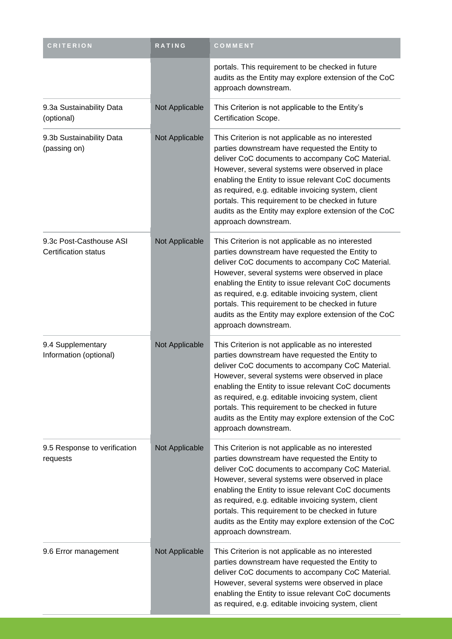| <b>CRITERION</b>                                       | RATING         | COMMENT                                                                                                                                                                                                                                                                                                                                                                                                                                                         |
|--------------------------------------------------------|----------------|-----------------------------------------------------------------------------------------------------------------------------------------------------------------------------------------------------------------------------------------------------------------------------------------------------------------------------------------------------------------------------------------------------------------------------------------------------------------|
|                                                        |                | portals. This requirement to be checked in future<br>audits as the Entity may explore extension of the CoC<br>approach downstream.                                                                                                                                                                                                                                                                                                                              |
| 9.3a Sustainability Data<br>(optional)                 | Not Applicable | This Criterion is not applicable to the Entity's<br>Certification Scope.                                                                                                                                                                                                                                                                                                                                                                                        |
| 9.3b Sustainability Data<br>(passing on)               | Not Applicable | This Criterion is not applicable as no interested<br>parties downstream have requested the Entity to<br>deliver CoC documents to accompany CoC Material.<br>However, several systems were observed in place<br>enabling the Entity to issue relevant CoC documents<br>as required, e.g. editable invoicing system, client<br>portals. This requirement to be checked in future<br>audits as the Entity may explore extension of the CoC<br>approach downstream. |
| 9.3c Post-Casthouse ASI<br><b>Certification status</b> | Not Applicable | This Criterion is not applicable as no interested<br>parties downstream have requested the Entity to<br>deliver CoC documents to accompany CoC Material.<br>However, several systems were observed in place<br>enabling the Entity to issue relevant CoC documents<br>as required, e.g. editable invoicing system, client<br>portals. This requirement to be checked in future<br>audits as the Entity may explore extension of the CoC<br>approach downstream. |
| 9.4 Supplementary<br>Information (optional)            | Not Applicable | This Criterion is not applicable as no interested<br>parties downstream have requested the Entity to<br>deliver CoC documents to accompany CoC Material.<br>However, several systems were observed in place<br>enabling the Entity to issue relevant CoC documents<br>as required, e.g. editable invoicing system, client<br>portals. This requirement to be checked in future<br>audits as the Entity may explore extension of the CoC<br>approach downstream. |
| 9.5 Response to verification<br>requests               | Not Applicable | This Criterion is not applicable as no interested<br>parties downstream have requested the Entity to<br>deliver CoC documents to accompany CoC Material.<br>However, several systems were observed in place<br>enabling the Entity to issue relevant CoC documents<br>as required, e.g. editable invoicing system, client<br>portals. This requirement to be checked in future<br>audits as the Entity may explore extension of the CoC<br>approach downstream. |
| 9.6 Error management                                   | Not Applicable | This Criterion is not applicable as no interested<br>parties downstream have requested the Entity to<br>deliver CoC documents to accompany CoC Material.<br>However, several systems were observed in place<br>enabling the Entity to issue relevant CoC documents<br>as required, e.g. editable invoicing system, client                                                                                                                                       |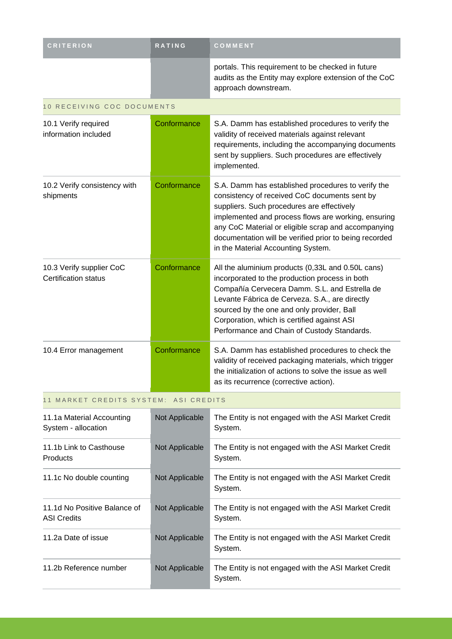| <b>CRITERION</b>                                        | <b>RATING</b>              | COMMENT                                                                                                                                                                                                                                                                                                                                                         |  |  |  |  |
|---------------------------------------------------------|----------------------------|-----------------------------------------------------------------------------------------------------------------------------------------------------------------------------------------------------------------------------------------------------------------------------------------------------------------------------------------------------------------|--|--|--|--|
|                                                         |                            | portals. This requirement to be checked in future<br>audits as the Entity may explore extension of the CoC<br>approach downstream.                                                                                                                                                                                                                              |  |  |  |  |
|                                                         | 10 RECEIVING COC DOCUMENTS |                                                                                                                                                                                                                                                                                                                                                                 |  |  |  |  |
| 10.1 Verify required<br>information included            | Conformance                | S.A. Damm has established procedures to verify the<br>validity of received materials against relevant<br>requirements, including the accompanying documents<br>sent by suppliers. Such procedures are effectively<br>implemented.                                                                                                                               |  |  |  |  |
| 10.2 Verify consistency with<br>shipments               | Conformance                | S.A. Damm has established procedures to verify the<br>consistency of received CoC documents sent by<br>suppliers. Such procedures are effectively<br>implemented and process flows are working, ensuring<br>any CoC Material or eligible scrap and accompanying<br>documentation will be verified prior to being recorded<br>in the Material Accounting System. |  |  |  |  |
| 10.3 Verify supplier CoC<br><b>Certification status</b> | Conformance                | All the aluminium products (0,33L and 0.50L cans)<br>incorporated to the production process in both<br>Compañía Cervecera Damm. S.L. and Estrella de<br>Levante Fábrica de Cerveza. S.A., are directly<br>sourced by the one and only provider, Ball<br>Corporation, which is certified against ASI<br>Performance and Chain of Custody Standards.              |  |  |  |  |
| 10.4 Error management                                   | Conformance                | S.A. Damm has established procedures to check the<br>validity of received packaging materials, which trigger<br>the initialization of actions to solve the issue as well<br>as its recurrence (corrective action).                                                                                                                                              |  |  |  |  |
| 11 MARKET CREDITS SYSTEM: ASI CREDITS                   |                            |                                                                                                                                                                                                                                                                                                                                                                 |  |  |  |  |

| 11.1a Material Accounting<br>System - allocation   | Not Applicable | The Entity is not engaged with the ASI Market Credit<br>System. |
|----------------------------------------------------|----------------|-----------------------------------------------------------------|
| 11.1b Link to Casthouse<br><b>Products</b>         | Not Applicable | The Entity is not engaged with the ASI Market Credit<br>System. |
| 11.1c No double counting                           | Not Applicable | The Entity is not engaged with the ASI Market Credit<br>System. |
| 11.1d No Positive Balance of<br><b>ASI Credits</b> | Not Applicable | The Entity is not engaged with the ASI Market Credit<br>System. |
| 11.2a Date of issue                                | Not Applicable | The Entity is not engaged with the ASI Market Credit<br>System. |
| 11.2b Reference number                             | Not Applicable | The Entity is not engaged with the ASI Market Credit<br>System. |